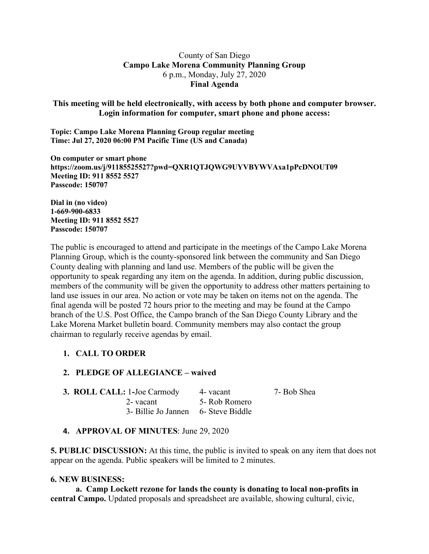### County of San Diego **Campo Lake Morena Community Planning Group** 6 p.m., Monday, July 27, 2020 **Final Agenda**

**This meeting will be held electronically, with access by both phone and computer browser. Login information for computer, smart phone and phone access:**

**Topic: Campo Lake Morena Planning Group regular meeting Time: Jul 27, 2020 06:00 PM Pacific Time (US and Canada)**

**On computer or smart phone https://zoom.us/j/91185525527?pwd=QXR1QTJQWG9UYVBYWVAxa1pPcDNOUT09 Meeting ID: 911 8552 5527 Passcode: 150707**

**Dial in (no video) 1-669-900-6833 Meeting ID: 911 8552 5527 Passcode: 150707**

The public is encouraged to attend and participate in the meetings of the Campo Lake Morena Planning Group, which is the county-sponsored link between the community and San Diego County dealing with planning and land use. Members of the public will be given the opportunity to speak regarding any item on the agenda. In addition, during public discussion, members of the community will be given the opportunity to address other matters pertaining to land use issues in our area. No action or vote may be taken on items not on the agenda. The final agenda will be posted 72 hours prior to the meeting and may be found at the Campo branch of the U.S. Post Office, the Campo branch of the San Diego County Library and the Lake Morena Market bulletin board. Community members may also contact the group chairman to regularly receive agendas by email.

# **1. CALL TO ORDER**

#### **2. PLEDGE OF ALLEGIANCE – waived**

| <b>3. ROLL CALL: 1-Joe Carmody</b>  | 4 - vacant    | 7- Bob Shea |
|-------------------------------------|---------------|-------------|
| 2- vacant                           | 5- Rob Romero |             |
| 3- Billie Jo Jannen 6- Steve Biddle |               |             |

# **4. APPROVAL OF MINUTES**: June 29, 2020

**5. PUBLIC DISCUSSION:** At this time, the public is invited to speak on any item that does not appear on the agenda. Public speakers will be limited to 2 minutes.

#### **6. NEW BUSINESS:**

**a. Camp Lockett rezone for lands the county is donating to local non-profits in central Campo.** Updated proposals and spreadsheet are available, showing cultural, civic,